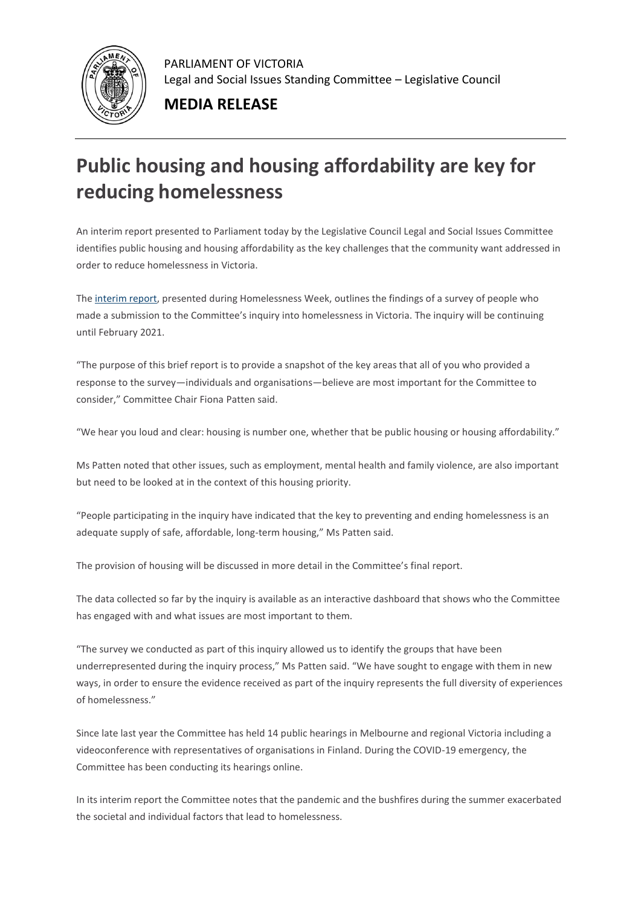

PARLIAMENT OF VICTORIA Legal and Social Issues Standing Committee – Legislative Council

**MEDIA RELEASE**

## **Public housing and housing affordability are key for reducing homelessness**

An interim report presented to Parliament today by the Legislative Council Legal and Social Issues Committee identifies public housing and housing affordability as the key challenges that the community want addressed in order to reduce homelessness in Victoria.

The [interim report,](https://aus01.safelinks.protection.outlook.com/?url=https%3A%2F%2Fparliamentofvictoria.cmail20.com%2Ft%2Ft-l-phtuthd-hrdrxhyy-r%2F&data=02%7C01%7CEbony.Cousins%40parliament.vic.gov.au%7Caef4b6237d1647b9dbc008d8383373fb%7C821af0ec31404137af0e6690286fb673%7C0%7C0%7C637321140921442365&sdata=IdA0iup48y4IQEmAjshZpIjy22kIHzPlzIw4MBynJxM%3D&reserved=0) presented during Homelessness Week, outlines the findings of a survey of people who made a submission to the Committee's inquiry into homelessness in Victoria. The inquiry will be continuing until February 2021.

"The purpose of this brief report is to provide a snapshot of the key areas that all of you who provided a response to the survey—individuals and organisations—believe are most important for the Committee to consider," Committee Chair Fiona Patten said.

"We hear you loud and clear: housing is number one, whether that be public housing or housing affordability."

Ms Patten noted that other issues, such as employment, mental health and family violence, are also important but need to be looked at in the context of this housing priority.

"People participating in the inquiry have indicated that the key to preventing and ending homelessness is an adequate supply of safe, affordable, long-term housing," Ms Patten said.

The provision of housing will be discussed in more detail in the Committee's final report.

The data collected so far by the inquiry is available as an interactive dashboard that shows who the Committee has engaged with and what issues are most important to them.

"The survey we conducted as part of this inquiry allowed us to identify the groups that have been underrepresented during the inquiry process," Ms Patten said. "We have sought to engage with them in new ways, in order to ensure the evidence received as part of the inquiry represents the full diversity of experiences of homelessness."

Since late last year the Committee has held 14 public hearings in Melbourne and regional Victoria including a videoconference with representatives of organisations in Finland. During the COVID-19 emergency, the Committee has been conducting its hearings online.

In its interim report the Committee notes that the pandemic and the bushfires during the summer exacerbated the societal and individual factors that lead to homelessness.